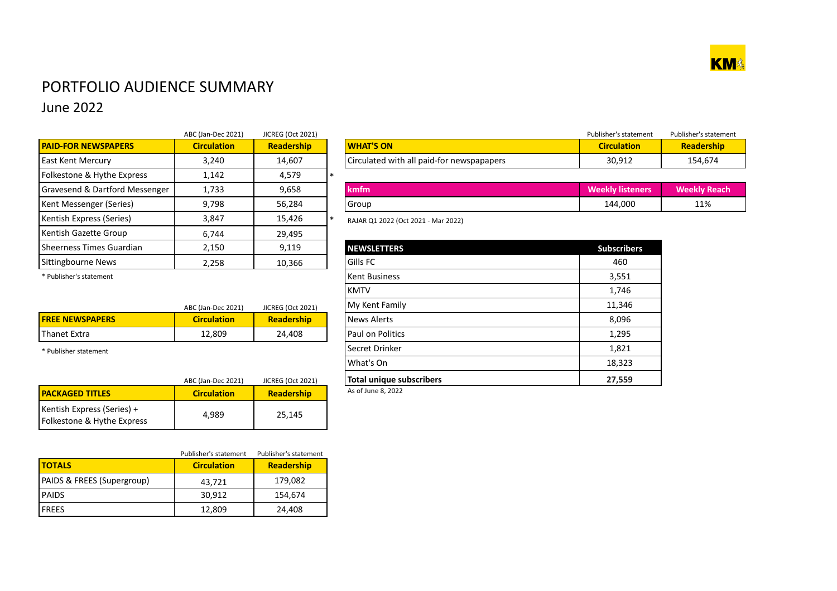

## PORTFOLIO AUDIENCE SUMMARY June 2022

|                                | ABC (Jan-Dec 2021) | <b>JICREG (Oct 2021)</b> |                                           | Publisher's sta    |
|--------------------------------|--------------------|--------------------------|-------------------------------------------|--------------------|
| <b>PAID-FOR NEWSPAPERS</b>     | <b>Circulation</b> | Readership               | <b>WHAT'S ON</b>                          | <b>Circulat</b>    |
| <b>East Kent Mercury</b>       | 3,240              | 14,607                   | Circulated with all paid-for newspapapers | 30,91              |
| Folkestone & Hythe Express     | 1,142              | 4,579                    |                                           |                    |
| Gravesend & Dartford Messenger | 1,733              | 9,658                    | kmfm                                      | <b>Weekly list</b> |
| Kent Messenger (Series)        | 9,798              | 56,284                   | Group                                     | 144,00             |
| Kentish Express (Series)       | 3,847              | 15,426                   | RAJAR Q1 2022 (Oct 2021 - Mar 2022)       |                    |
| Kentish Gazette Group          | 6.744              | 29,495                   |                                           |                    |
| Sheerness Times Guardian       | 2,150              | 9,119                    | <b>NEWSLETTERS</b>                        | <b>Subscrit</b>    |
| Sittingbourne News             | 2,258              | 10,366                   | Gills FC                                  | 460                |

|                            | ABC (Jan-Dec 2021) | <b>JICREG (Oct 2021)</b> |                                           | Publisher's statement | Publisher's statement |
|----------------------------|--------------------|--------------------------|-------------------------------------------|-----------------------|-----------------------|
| <b>PAID-FOR NEWSPAPERS</b> | <b>Circulation</b> | <b>Readership</b>        | <b>WHAT'S ON</b>                          | <b>Circulation</b>    | Readership            |
| East Kent Mercury          | 3,240              | 14,607                   | Circulated with all paid-for newspapapers | 30,912                | 154,674               |

| Gravesend & I<br>Dartford Messenger | 1,733 | 9,658  | <b>kmfm</b> | 3.8.7<br>----<br>anar | $\mathbf{A}$ and $\mathbf{B}$<br>a ma<br>/ кеасп |
|-------------------------------------|-------|--------|-------------|-----------------------|--------------------------------------------------|
| Kent Messenger (Series)             | 9,798 | 56,284 | ı Group     | 144,000               | 11%                                              |

| Sheerness Times Guardian | 2,150              | 9,119                                                                                                           | <b>NEWSLETTERS</b>               |  |
|--------------------------|--------------------|-----------------------------------------------------------------------------------------------------------------|----------------------------------|--|
| Sittingbourne News       | 2,258              | 10,366                                                                                                          | <b>Gills FC</b>                  |  |
| * Publisher's statement  |                    |                                                                                                                 | <b>Kent Business</b>             |  |
|                          |                    |                                                                                                                 | <b>KMTV</b>                      |  |
|                          | ABC (Jan-Dec 2021) | <b>JICREG (Oct 2021)</b>                                                                                        | My Kent Family                   |  |
| <b>FREE NEWSPAPERS</b>   | <b>Circulation</b> | Readership                                                                                                      | News Alerts                      |  |
| Thanet Extra             | 12,809             | 24,408                                                                                                          | Paul on Politics                 |  |
| * Publisher statement    |                    |                                                                                                                 | Secret Drinker                   |  |
|                          |                    |                                                                                                                 | What's On                        |  |
|                          | ABC (Jan-Dec 2021) | <b>JICREG (Oct 2021)</b>                                                                                        | <b>Total unique subscribers</b>  |  |
|                          |                    | the contract of the contract of the contract of the contract of the contract of the contract of the contract of | $A \cap B$ lung $\emptyset$ 2022 |  |

|                        | ABC (Jan-Dec 2021) | <b>JICREG (Oct 2021)</b> |
|------------------------|--------------------|--------------------------|
| <b>FREE NEWSPAPERS</b> | <b>Circulation</b> | <b>Readership</b>        |
| <b>Thanet Extra</b>    | 12.809             | 24,408                   |

|                                                          | ABC (Jan-Dec 2021) | <b>JICREG (Oct 2021)</b> | Total unique su    |
|----------------------------------------------------------|--------------------|--------------------------|--------------------|
| <b>PACKAGED TITLES</b>                                   | <b>Circulation</b> | <b>Readership</b>        | As of June 8, 2022 |
| Kentish Express (Series) +<br>Folkestone & Hythe Express | 4.989              | 25.145                   |                    |

|                                       | Publisher's statement | Publisher's statement |
|---------------------------------------|-----------------------|-----------------------|
| <b>TOTALS</b>                         | <b>Circulation</b>    | <b>Readership</b>     |
| <b>PAIDS &amp; FREES (Supergroup)</b> | 43,721                | 179,082               |
| <b>PAIDS</b>                          | 30,912                | 154,674               |
| <b>IFREES</b>                         | 12,809                | 24,408                |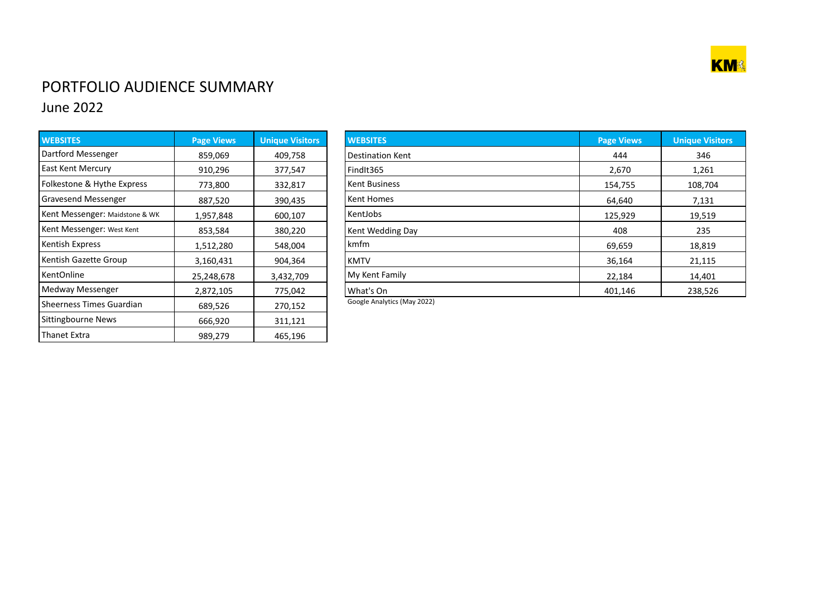

## PORTFOLIO AUDIENCE SUMMARY June 2022

| <b>WEBSITES</b>                | <b>Page Views</b> | <b>Unique Visitors</b> |
|--------------------------------|-------------------|------------------------|
| Dartford Messenger             | 859,069           | 409,758                |
| <b>East Kent Mercury</b>       | 910,296           | 377,547                |
| Folkestone & Hythe Express     | 773,800           | 332,817                |
| Gravesend Messenger            | 887,520           | 390,435                |
| Kent Messenger: Maidstone & WK | 1,957,848         | 600,107                |
| Kent Messenger: West Kent      | 853,584           | 380,220                |
| Kentish Express                | 1,512,280         | 548,004                |
| Kentish Gazette Group          | 3,160,431         | 904,364                |
| <b>KentOnline</b>              | 25,248,678        | 3,432,709              |
| Medway Messenger               | 2,872,105         | 775,042                |
| Sheerness Times Guardian       | 689,526           | 270,152                |
| Sittingbourne News             | 666,920           | 311,121                |
| Thanet Extra                   | 989,279           | 465,196                |

| <b>WEBSITES</b>                | <b>Page Views</b> | <b>Unique Visitors</b> | <b>WEBSITES</b>                                         | <b>Page Views</b> | <b>Unique Visitors</b> |
|--------------------------------|-------------------|------------------------|---------------------------------------------------------|-------------------|------------------------|
| Dartford Messenger             | 859,069           | 409,758                | <b>Destination Kent</b>                                 | 444               | 346                    |
| East Kent Mercury              | 910,296           | 377,547                | FindIt365                                               | 2,670             | 1,261                  |
| Folkestone & Hythe Express     | 773,800           | 332,817                | <b>Kent Business</b>                                    | 154,755           | 108,704                |
| <b>Gravesend Messenger</b>     | 887,520           | 390,435                | Kent Homes                                              | 64,640            | 7,131                  |
| Kent Messenger: Maidstone & WK | 1,957,848         | 600,107                | KentJobs                                                | 125,929           | 19,519                 |
| Kent Messenger: West Kent      | 853,584           | 380,220                | Kent Wedding Day                                        | 408               | 235                    |
| Kentish Express                | 1,512,280         | 548,004                | kmfm                                                    | 69,659            | 18,819                 |
| Kentish Gazette Group          | 3,160,431         | 904,364                | <b>KMTV</b>                                             | 36,164            | 21,115                 |
| KentOnline                     | 25,248,678        | 3,432,709              | My Kent Family                                          | 22,184            | 14,401                 |
| Medway Messenger               | 2,872,105         | 775,042                | What's On                                               | 401,146           | 238,526                |
|                                |                   |                        | $\sim$ $\sim$ $\sim$ $\sim$ $\sim$ $\sim$ $\sim$ $\sim$ |                   |                        |

Google Analytics (May 2022)